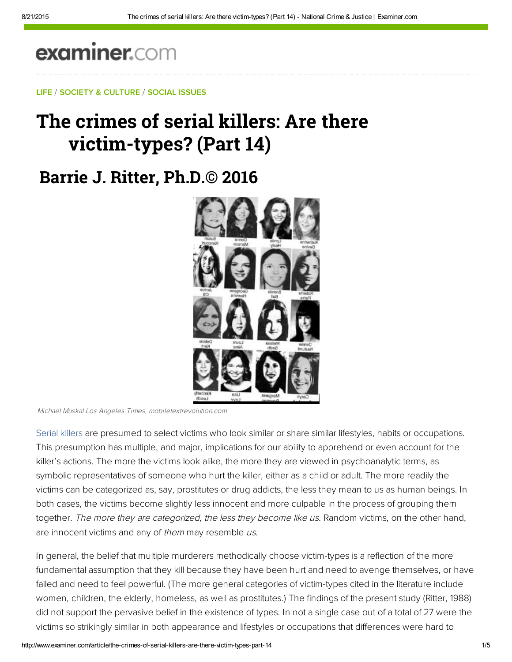# examiner.com

### LIFE / SOCIETY & CULTURE / SOCIAL ISSUES

## The crimes of serial killers: Are there victim-types? (Part 14)

### **Barrie J. Ritter, Ph.D.© 2016**



Michael Muskal Los Angeles Times, mobiletextrevolution.com

Serial killers are presumed to select victims who look similar or share similar lifestyles, habits or occupations. This presumption has multiple, and major, implications for our ability to apprehend or even account for the killer's actions. The more the victims look alike, the more they are viewed in psychoanalytic terms, as symbolic representatives of someone who hurt the killer, either as a child or adult. The more readily the victims can be categorized as, say, prostitutes or drug addicts, the less they mean to us as human beings. In both cases, the victims become slightly less innocent and more culpable in the process of grouping them together. The more they are categorized, the less they become like us. Random victims, on the other hand, are innocent victims and any of them may resemble us.

In general, the belief that multiple murderers methodically choose victim-types is a reflection of the more fundamental assumption that they kill because they have been hurt and need to avenge themselves, or have failed and need to feel powerful. (The more general categories of victim-types cited in the literature include women, children, the elderly, homeless, as well as prostitutes.) The findings of the present study (Ritter, 1988) did not support the pervasive belief in the existence of types. In not a single case out of a total of 27 were the victims so strikingly similar in both appearance and lifestyles or occupations that differences were hard to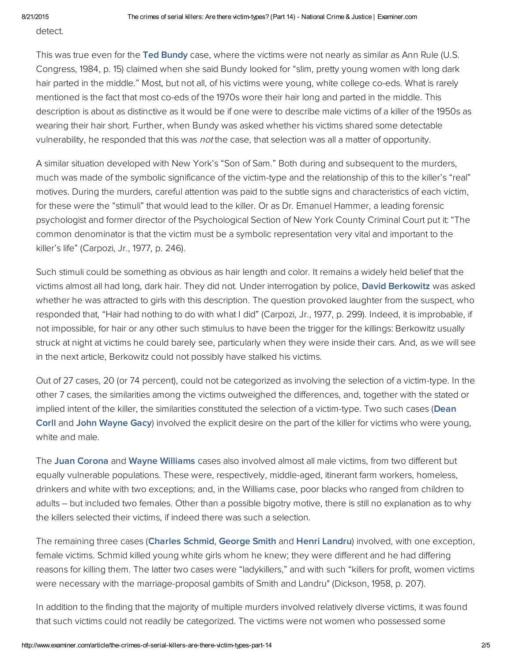detect.

This was true even for the [Ted Bundy](https://en.wikipedia.org/wiki/Ted_Bundy) case, where the victims were not nearly as similar as Ann Rule (U.S. Congress, 1984, p. 15) claimed when she said Bundy looked for "slim, pretty young women with long dark hair parted in the middle." Most, but not all, of his victims were young, white college co-eds. What is rarely mentioned is the fact that most co-eds of the 1970s wore their hair long and parted in the middle. This description is about as distinctive as it would be if one were to describe male victims of a killer of the 1950s as wearing their hair short. Further, when Bundy was asked whether his victims shared some detectable vulnerability, he responded that this was *not* the case, that selection was all a matter of opportunity.

A similar situation developed with New York's "Son of Sam." Both during and subsequent to the murders, much was made of the symbolic significance of the victim-type and the relationship of this to the killer's "real" motives. During the murders, careful attention was paid to the subtle signs and characteristics of each victim, for these were the "stimuli" that would lead to the killer. Or as Dr. Emanuel Hammer, a leading forensic psychologist and former director of the Psychological Section of New York County Criminal Court put it: "The common denominator is that the victim must be a symbolic representation very vital and important to the killer's life" (Carpozi, Jr., 1977, p. 246).

Such stimuli could be something as obvious as hair length and color. It remains a widely held belief that the victims almost all had long, dark hair. They did not. Under interrogation by police, [David Berkowitz w](http://bit.ly/dDyhyj)as asked whether he was attracted to girls with this description. The question provoked laughter from the suspect, who responded that, "Hair had nothing to do with what I did" (Carpozi, Jr., 1977, p. 299). Indeed, it is improbable, if not impossible, for hair or any other such stimulus to have been the trigger for the killings: Berkowitz usually struck at night at victims he could barely see, particularly when they were inside their cars. And, as we will see in the next article, Berkowitz could not possibly have stalked his victims.

Out of 27 cases, 20 (or 74 percent), could not be categorized as involving the selection of a victim-type. In the other 7 cases, the similarities among the victims outweighed the differences, and, together with the stated or implied intent of the killer, the similarities constituted the selection of a victim-type. Two such cases (Dean Corll and [John Wayne Gacy\)](https://en.wikipedia.org/wiki/John_Wayne_Gacy) involved the explicit desire on the part of the killer for victims who were young, white and male.

The [Juan Corona a](http://bit.ly/Ka9mRA)nd [Wayne Williams c](https://en.wikipedia.org/wiki/Wayne_Williams)ases also involved almost all male victims, from two different but equally vulnerable populations. These were, respectively, middle-aged, itinerant farm workers, homeless, drinkers and white with two exceptions; and, in the Williams case, poor blacks who ranged from children to adults – but included two females. Other than a possible bigotry motive, there is still no explanation as to why the killers selected their victims, if indeed there was such a selection.

The remaining three cases ([Charles Schmid](http://murderpedia.org/male.S/s/schmid-charles-howard.htm), [George Smith](https://en.wikipedia.org/wiki/George_Joseph_Smith) and [Henri Landru\)](https://en.wikipedia.org/wiki/Henri_D%C3%A9sir%C3%A9_Landru) involved, with one exception, female victims. Schmid killed young white girls whom he knew; they were different and he had differing reasons for killing them. The latter two cases were "ladykillers," and with such "killers for profit, women victims were necessary with the marriage-proposal gambits of Smith and Landru" (Dickson, 1958, p. 207).

In addition to the finding that the majority of multiple murders involved relatively diverse victims, it was found that such victims could not readily be categorized. The victims were not women who possessed some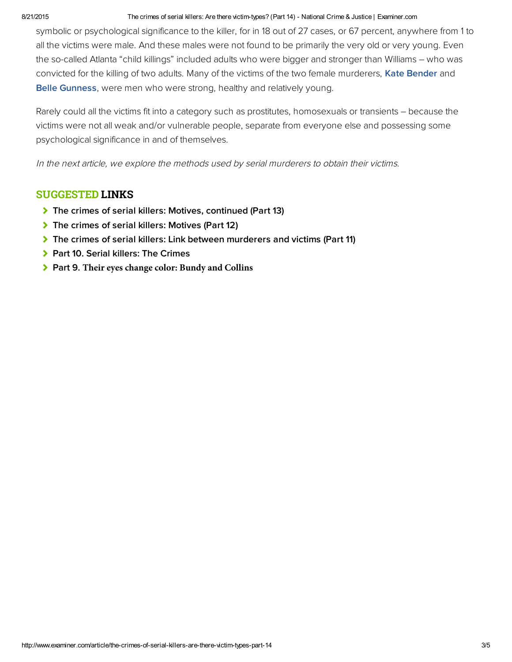#### 8/21/2015 The crimes of serial killers: Are there victim-types? (Part 14) - National Crime & Justice | Examiner.com

symbolic or psychological significance to the killer, for in 18 out of 27 cases, or 67 percent, anywhere from 1 to all the victims were male. And these males were not found to be primarily the very old or very young. Even the so-called Atlanta "child killings" included adults who were bigger and stronger than Williams – who was convicted for the killing of two adults. Many of the victims of the two female murderers, [Kate Bender](http://www.kshs.org/kansapedia/kate-bender/11980) and [Belle Gunness,](https://en.wikipedia.org/wiki/Belle_Gunness) were men who were strong, healthy and relatively young.

Rarely could all the victims fit into a category such as prostitutes, homosexuals or transients – because the victims were not all weak and/or vulnerable people, separate from everyone else and possessing some psychological significance in and of themselves.

In the next article, we explore the methods used by serial murderers to obtain their victims.

### SUGGESTED LINKS

- [The crimes of serial killers: Motives, continued \(Part 13\)](http://www.ritterhomicideresearch.com/articles/Part-13.pdf)
- [The crimes of serial killers: Motives \(Part 12\)](http://www.ritterhomicideresearch.com/articles/Part-12.pdf)
- [The crimes of serial killers: Link between murderers and victims \(Part 11\)](http://www.ritterhomicideresearch.com/articles/Part-11.pdf)
- [Part 10. Serial killers: The Crimes](http://www.ritterhomicideresearch.com/articles/Part-10.pdf)
- Part 9. **[Their eyes change color: Bundy and Collins](http://www.ritterhomicideresearch.com/articles/Part-9.pdf)**